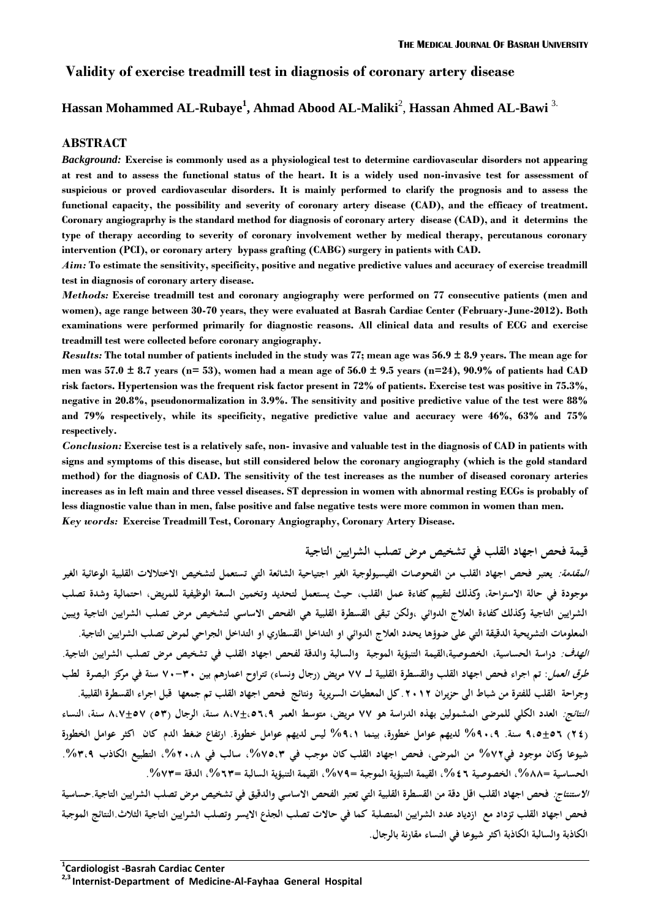### **Validity of exercise treadmill test in diagnosis of coronary artery disease**

# **Hassan Mohammed AL-Rubaye<sup>1</sup> , Ahmad Abood AL-Maliki**<sup>2</sup> , **Hassan Ahmed AL-Bawi** 3.

#### **ABSTRACT**

*Background:* **Exercise is commonly used as a physiological test to determine cardiovascular disorders not appearing at rest and to assess the functional status of the heart. It is a widely used non-invasive test for assessment of suspicious or proved cardiovascular disorders. It is mainly performed to clarify the prognosis and to assess the functional capacity, the possibility and severity of coronary artery disease (CAD), and the efficacy of treatment. Coronary angiograprhy is the standard method for diagnosis of coronary artery disease (CAD), and it determins the type of therapy according to severity of coronary involvement wether by medical therapy, percutanous coronary intervention (PCI), or coronary artery bypass grafting (CABG) surgery in patients with CAD.**

*Aim:* **To estimate the sensitivity, specificity, positive and negative predictive values and accuracy of exercise treadmill test in diagnosis of coronary artery disease.**

*Methods:* **Exercise treadmill test and coronary angiography were performed on 77 consecutive patients (men and women), age range between 30-70 years, they were evaluated at Basrah Cardiac Center (February-June-2012). Both examinations were performed primarily for diagnostic reasons. All clinical data and results of ECG and exercise treadmill test were collected before coronary angiography.**

*Results:* **The total number of patients included in the study was 77; mean age was 56.9 ± 8.9 years. The mean age for men was 57.0 ± 8.7 years (n= 53), women had a mean age of 56.0 ± 9.5 years (n=24), 90.9% of patients had CAD risk factors. Hypertension was the frequent risk factor present in 72% of patients. Exercise test was positive in 75.3%, negative in 20.8%, pseudonormalization in 3.9%. The sensitivity and positive predictive value of the test were 88% and 79% respectively, while its specificity, negative predictive value and accuracy were 46%, 63% and 75% respectively.** 

*Conclusion:* **Exercise test is a relatively safe, non- invasive and valuable test in the diagnosis of CAD in patients with signs and symptoms of this disease, but still considered below the coronary angiography (which is the gold standard method) for the diagnosis of CAD. The sensitivity of the test increases as the number of diseased coronary arteries increases as in left main and three vessel diseases. ST depression in women with abnormal resting ECGs is probably of less diagnostic value than in men, false positive and false negative tests were more common in women than men.** *Key words:* **Exercise Treadmill Test, Coronary Angiography, Coronary Artery Disease.**

**قيمة فحص اجهاد القلب في تشخيص مرض تصلب الشرايين التاجية**

**المقدمة: يعتبر فحص اجهاد القلب من الفحوصات الفيسيولوجية الغير اجتياحية الشائعة التي تستعمل لتشخيص االختالالت القلبية الوعائية الغير موجودة في حالة االستراحة, وكذلك لتقييم كفاءة عمل القلب, حيث يستعمل لتحديد وتخمين السعة الوظيفية للمريض, احتمالية وشدة تصلب الشرايين التاجية وكذلك كفاءة العالج الدوائي ,ولكن تبقى القسطرة القلبية هي الفحص االساسي لتشخيص مرض تصلب الشرايين التاجية ويبين المعلومات التشريحية الدقيقة التي على ضوؤها يحدد العالج الدوائي او التداخل القسطاري او التداخل الجراحي لمرض تصلب الشرايين التاجية. الهدف: دراسة الحساسية, الخصوصية,القيمة التنبؤية الموجبة والسالبة والدقة لفحص اجهاد القلب في تشخيص مرض تصلب الشرايين التاجية. طرق العمل: تم اجراء فحص اجهاد القلب والقسطرة القلبية لـــ 77 مريض )رجال ونساء( تتراوح اعمارهم بين 73-03 سنة في مركز البصرة لطب وجراحة القلب للفترة من شباط الى حزيران .2302 كل المعطيات السريرية ونتائج فحص اجهاد القلب تم جمعها قبل اجراء القسطرة القلبية. النتائج: العدد الكلي للمرضى المشمولين بهذه الدراسة هو 77 مريض, متوسط العمر 7,7±,9,,5 سنة, الرجال )90( 7,7±97 سنة, النساء )22( 5,9±9, سنة. %53,5 لديهم عوامل خطورة, بينما %5,0 ليس لديهم عوامل خطورة. ارتفاع ضغط الدم كان اكثر عوامل الخطورة شيوعا وكان موجود في%72 من المرضى, فحص اجهاد القلب كان موجب في ,%79,0 سالب في ,%23,7 التطبيع الكاذب .%0,5 الحساسية =,%77 الخصوصية ,%2, القيمة التنبؤية الموجبة =,%75 القيمة التنبؤية السالبة =,%,0 الدقة =.%70**

**االستنتاج: فحص اجهاد القلب اقل دقة من القسطرة القلبية التي تعتبر الفحص االساسي والدقيق في تشخيص مرض تصلب الشرايين التاجية.حساسية فحص اجهاد القلب تزداد مع ازدياد عدد الشرايين المتصلبة كما في حاالت تصلب الجذع االيسر وتصلب الشرايين التاجية الثالث.النتائج الموجبة الكاذبة والسالبة الكاذبة اكثر شيوعا في النساء مقارنة بالرجال.**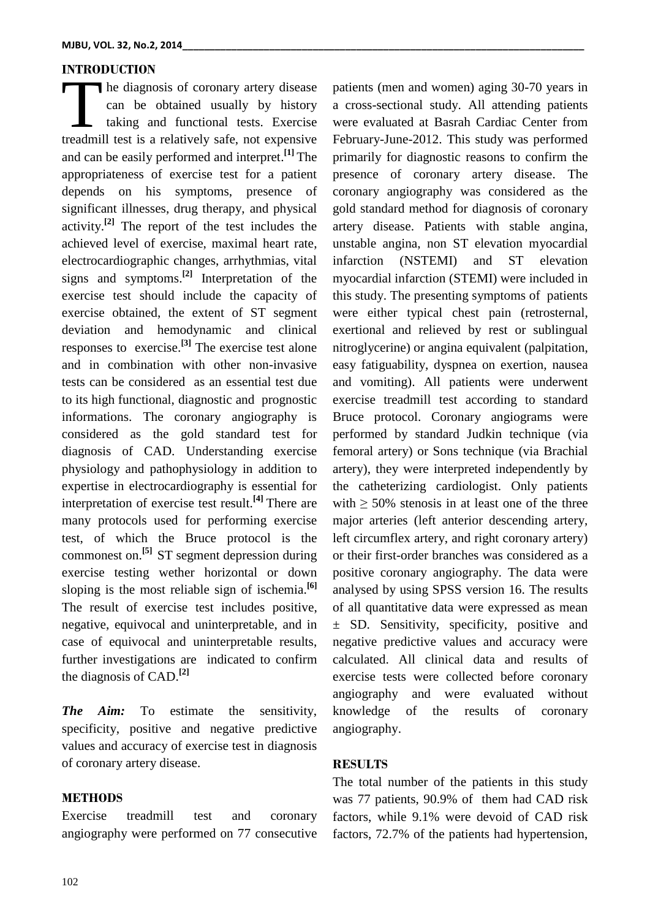### **INTRODUCTION**

he diagnosis of coronary artery disease can be obtained usually by history taking and functional tests. Exercise The diagnosis of coronary artery disease<br>
can be obtained usually by history<br>
taking and functional tests. Exercise<br>
treadmill test is a relatively safe, not expensive and can be easily performed and interpret. **[1]** The appropriateness of exercise test for a patient depends on his symptoms, presence of significant illnesses, drug therapy, and physical activity. **[2]** The report of the test includes the achieved level of exercise, maximal heart rate, electrocardiographic changes, arrhythmias, vital signs and symptoms. **[2]** Interpretation of the exercise test should include the capacity of exercise obtained, the extent of ST segment deviation and hemodynamic and clinical responses to exercise. **[3]** The exercise test alone and in combination with other non-invasive tests can be considered as an essential test due to its high functional, diagnostic and prognostic informations. The coronary angiography is considered as the gold standard test for diagnosis of CAD. Understanding exercise physiology and pathophysiology in addition to expertise in electrocardiography is essential for interpretation of exercise test result.**[4]** There are many protocols used for performing exercise test, of which the Bruce protocol is the commonest on. **[5]** ST segment depression during exercise testing wether horizontal or down sloping is the most reliable sign of ischemia. **[6]** The result of exercise test includes positive, negative, equivocal and uninterpretable, and in case of equivocal and uninterpretable results, further investigations are indicated to confirm the diagnosis of CAD. **[2]**

*The Aim:* To estimate the sensitivity, specificity, positive and negative predictive values and accuracy of exercise test in diagnosis of coronary artery disease.

#### **METHODS**

Exercise treadmill test and coronary angiography were performed on 77 consecutive patients (men and women) aging 30-70 years in a cross-sectional study. All attending patients were evaluated at Basrah Cardiac Center from February-June-2012. This study was performed primarily for diagnostic reasons to confirm the presence of coronary artery disease. The coronary angiography was considered as the gold standard method for diagnosis of coronary artery disease. Patients with stable angina, unstable angina, non ST elevation myocardial infarction (NSTEMI) and ST elevation myocardial infarction (STEMI) were included in this study. The presenting symptoms of patients were either typical chest pain (retrosternal, exertional and relieved by rest or sublingual nitroglycerine) or angina equivalent (palpitation, easy fatiguability, dyspnea on exertion, nausea and vomiting). All patients were underwent exercise treadmill test according to standard Bruce protocol. Coronary angiograms were performed by standard Judkin technique (via femoral artery) or Sons technique (via Brachial artery), they were interpreted independently by the catheterizing cardiologist. Only patients with  $\geq$  50% stenosis in at least one of the three major arteries (left anterior descending artery, left circumflex artery, and right coronary artery) or their first-order branches was considered as a positive coronary angiography. The data were analysed by using SPSS version 16. The results of all quantitative data were expressed as mean ± SD. Sensitivity, specificity, positive and negative predictive values and accuracy were calculated. All clinical data and results of exercise tests were collected before coronary angiography and were evaluated without knowledge of the results of coronary angiography.

#### **RESULTS**

The total number of the patients in this study was 77 patients, 90.9% of them had CAD risk factors, while 9.1% were devoid of CAD risk factors, 72.7% of the patients had hypertension,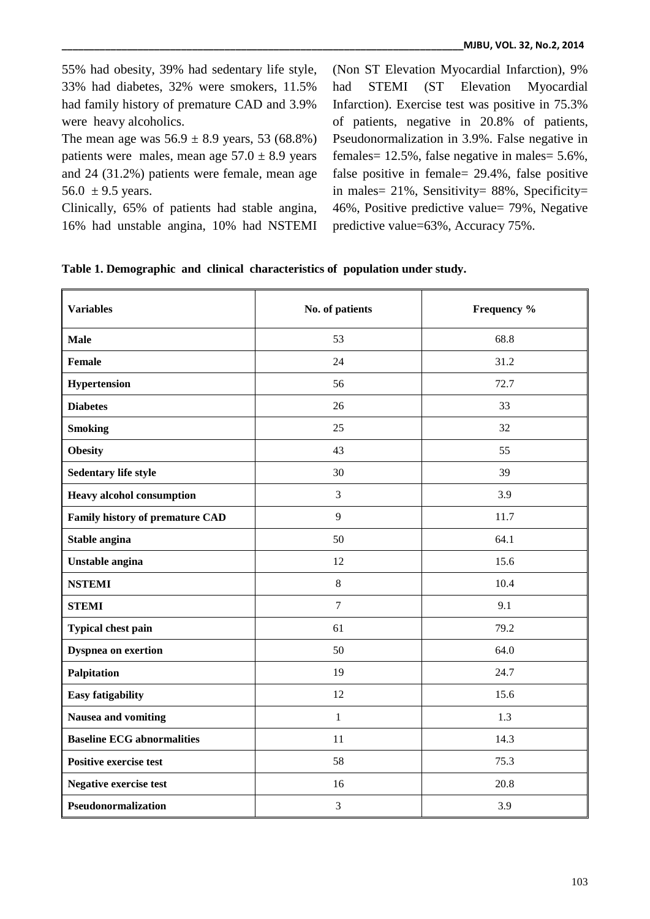55% had obesity, 39% had sedentary life style, 33% had diabetes, 32% were smokers, 11.5% had family history of premature CAD and 3.9% were heavy alcoholics.

The mean age was  $56.9 \pm 8.9$  years, 53 (68.8%) patients were males, mean age  $57.0 \pm 8.9$  years and 24 (31.2%) patients were female, mean age 56.0  $\pm$  9.5 years.

Clinically, 65% of patients had stable angina, 16% had unstable angina, 10% had NSTEMI (Non ST Elevation Myocardial Infarction), 9% had STEMI (ST Elevation Myocardial Infarction). Exercise test was positive in 75.3% of patients, negative in 20.8% of patients, Pseudonormalization in 3.9%. False negative in females= 12.5%, false negative in males= 5.6%, false positive in female= 29.4%, false positive in males= 21%, Sensitivity= 88%, Specificity= 46%, Positive predictive value= 79%, Negative predictive value=63%, Accuracy 75%.

| Table 1. Demographic and clinical characteristics of population under study. |  |  |
|------------------------------------------------------------------------------|--|--|
|------------------------------------------------------------------------------|--|--|

| <b>Variables</b>                  | No. of patients | Frequency % |  |
|-----------------------------------|-----------------|-------------|--|
| <b>Male</b>                       | 53              | 68.8        |  |
| <b>Female</b>                     | 24              | 31.2        |  |
| Hypertension                      | 56              | 72.7        |  |
| <b>Diabetes</b>                   | 26              | 33          |  |
| <b>Smoking</b>                    | 25              | 32          |  |
| <b>Obesity</b>                    | 43              | 55          |  |
| Sedentary life style              | 30              | 39          |  |
| <b>Heavy alcohol consumption</b>  | $\mathfrak{Z}$  | 3.9         |  |
| Family history of premature CAD   | 9               | 11.7        |  |
| Stable angina                     | 50              | 64.1        |  |
| Unstable angina                   | 12              | 15.6        |  |
| <b>NSTEMI</b>                     | 8               | 10.4        |  |
| <b>STEMI</b>                      | $\overline{7}$  | 9.1         |  |
| Typical chest pain                | 61              | 79.2        |  |
| <b>Dyspnea on exertion</b>        | 50              | 64.0        |  |
| Palpitation                       | 19              | 24.7        |  |
| <b>Easy fatigability</b>          | 12              | 15.6        |  |
| Nausea and vomiting               | $\mathbf{1}$    | 1.3         |  |
| <b>Baseline ECG abnormalities</b> | 11              | 14.3        |  |
| <b>Positive exercise test</b>     | 58              | 75.3        |  |
| <b>Negative exercise test</b>     | 16              | 20.8        |  |
| Pseudonormalization               | 3               | 3.9         |  |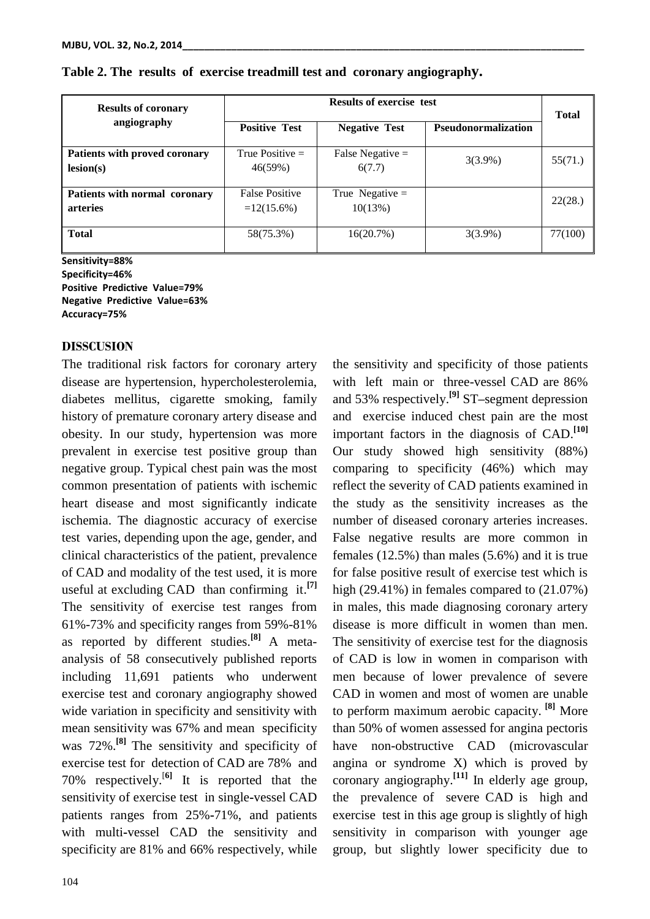| <b>Results of coronary</b><br>angiography        | <b>Results of exercise test</b>        |                              |                            | <b>Total</b> |
|--------------------------------------------------|----------------------------------------|------------------------------|----------------------------|--------------|
|                                                  | <b>Positive Test</b>                   | <b>Negative Test</b>         | <b>Pseudonormalization</b> |              |
| Patients with proved coronary<br>lesion(s)       | True Positive $=$<br>46(59%)           | False Negative $=$<br>6(7.7) | $3(3.9\%)$                 | 55(71.)      |
| Patients with normal coronary<br><b>arteries</b> | <b>False Positive</b><br>$=12(15.6\%)$ | True Negative $=$<br>10(13%) |                            | 22(28.)      |
| <b>Total</b>                                     | 58(75.3%)                              | 16(20.7%)                    | $3(3.9\%)$                 | 77(100)      |

### **Table 2. The results of exercise treadmill test and coronary angiography.**

**Sensitivity=88% Specificity=46% Positive Predictive Value=79% Negative Predictive Value=63% Accuracy=75%**

#### **DISSCUSION**

The traditional risk factors for coronary artery disease are hypertension, hypercholesterolemia, diabetes mellitus, cigarette smoking, family history of premature coronary artery disease and obesity. In our study, hypertension was more prevalent in exercise test positive group than negative group. Typical chest pain was the most common presentation of patients with ischemic heart disease and most significantly indicate ischemia. The diagnostic accuracy of exercise test varies, depending upon the age, gender, and clinical characteristics of the patient, prevalence of CAD and modality of the test used, it is more useful at excluding CAD than confirming it. **[7]** The sensitivity of exercise test ranges from 61%-73% and specificity ranges from 59%-81% as reported by different studies. **[8]** A metaanalysis of 58 consecutively published reports including 11,691 patients who underwent exercise test and coronary angiography showed wide variation in specificity and sensitivity with mean sensitivity was 67% and mean specificity was 72%. **[8]** The sensitivity and specificity of exercise test for detection of CAD are 78% and 70% respectively. [**6]** It is reported that the sensitivity of exercise test in single**-**vessel CAD patients ranges from 25%**-**71%, and patients with multi**-**vessel CAD the sensitivity and specificity are 81% and 66% respectively, while

with left main or three-vessel CAD are 86% and 53% respectively. **[9]** ST**–**segment depression and exercise induced chest pain are the most important factors in the diagnosis of CAD. **[10]** Our study showed high sensitivity (88%) comparing to specificity (46%) which may reflect the severity of CAD patients examined in the study as the sensitivity increases as the number of diseased coronary arteries increases. False negative results are more common in females (12.5%) than males (5.6%) and it is true for false positive result of exercise test which is high (29.41%) in females compared to (21.07%) in males, this made diagnosing coronary artery disease is more difficult in women than men. The sensitivity of exercise test for the diagnosis of CAD is low in women in comparison with men because of lower prevalence of severe CAD in women and most of women are unable to perform maximum aerobic capacity. **[8]** More than 50% of women assessed for angina pectoris have non-obstructive CAD (microvascular angina or syndrome X) which is proved by coronary angiography. **[11]** In elderly age group, the prevalence of severe CAD is high and exercise test in this age group is slightly of high sensitivity in comparison with younger age group, but slightly lower specificity due to

the sensitivity and specificity of those patients